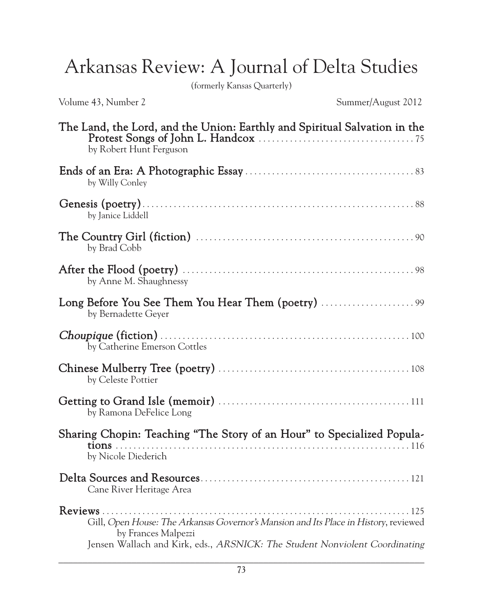Arkansas Review: A Journal of Delta Studies

(formerly Kansas Quarterly)

Volume 43, Number 2 Summer/August 2012

| The Land, the Lord, and the Union: Earthly and Spiritual Salvation in the<br>by Robert Hunt Ferguson                                                                                       |
|--------------------------------------------------------------------------------------------------------------------------------------------------------------------------------------------|
| by Willy Conley                                                                                                                                                                            |
| by Janice Liddell                                                                                                                                                                          |
| by Brad Cobb                                                                                                                                                                               |
| by Anne M. Shaughnessy                                                                                                                                                                     |
| by Bernadette Geyer                                                                                                                                                                        |
| by Catherine Emerson Cottles                                                                                                                                                               |
| by Celeste Pottier                                                                                                                                                                         |
| by Ramona DeFelice Long                                                                                                                                                                    |
| Sharing Chopin: Teaching "The Story of an Hour" to Specialized Popula-<br>by Nicole Diederich                                                                                              |
| Cane River Heritage Area                                                                                                                                                                   |
| Gill, Open House: The Arkansas Governor's Mansion and Its Place in History, reviewed<br>by Frances Malpezzi<br>Jensen Wallach and Kirk, eds., ARSNICK: The Student Nonviolent Coordinating |